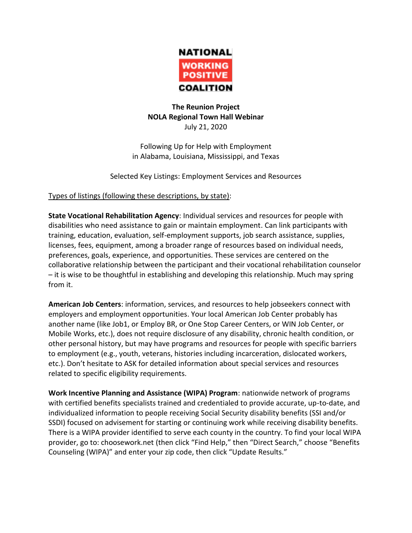

## **The Reunion Project NOLA Regional Town Hall Webinar** July 21, 2020

Following Up for Help with Employment in Alabama, Louisiana, Mississippi, and Texas

Selected Key Listings: Employment Services and Resources

## Types of listings (following these descriptions, by state):

**State Vocational Rehabilitation Agency**: Individual services and resources for people with disabilities who need assistance to gain or maintain employment. Can link participants with training, education, evaluation, self-employment supports, job search assistance, supplies, licenses, fees, equipment, among a broader range of resources based on individual needs, preferences, goals, experience, and opportunities. These services are centered on the collaborative relationship between the participant and their vocational rehabilitation counselor – it is wise to be thoughtful in establishing and developing this relationship. Much may spring from it.

**American Job Centers**: information, services, and resources to help jobseekers connect with employers and employment opportunities. Your local American Job Center probably has another name (like Job1, or Employ BR, or One Stop Career Centers, or WIN Job Center, or Mobile Works, etc.), does not require disclosure of any disability, chronic health condition, or other personal history, but may have programs and resources for people with specific barriers to employment (e.g., youth, veterans, histories including incarceration, dislocated workers, etc.). Don't hesitate to ASK for detailed information about special services and resources related to specific eligibility requirements.

**Work Incentive Planning and Assistance (WIPA) Program**: nationwide network of programs with certified benefits specialists trained and credentialed to provide accurate, up-to-date, and individualized information to people receiving Social Security disability benefits (SSI and/or SSDI) focused on advisement for starting or continuing work while receiving disability benefits. There is a WIPA provider identified to serve each county in the country. To find your local WIPA provider, go to: choosework.net (then click "Find Help," then "Direct Search," choose "Benefits Counseling (WIPA)" and enter your zip code, then click "Update Results."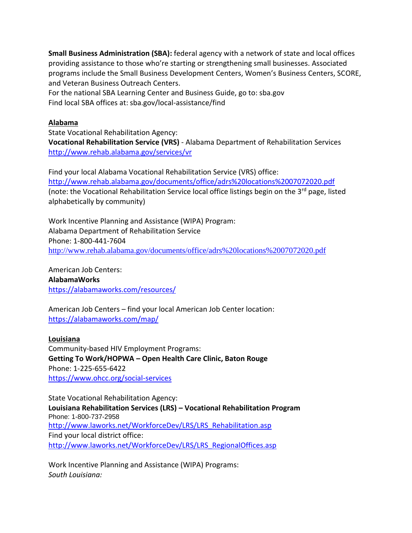**Small Business Administration (SBA):** federal agency with a network of state and local offices providing assistance to those who're starting or strengthening small businesses. Associated programs include the Small Business Development Centers, Women's Business Centers, SCORE, and Veteran Business Outreach Centers.

For the national SBA Learning Center and Business Guide, go to: sba.gov Find local SBA offices at: sba.gov/local-assistance/find

# **Alabama**

State Vocational Rehabilitation Agency: **Vocational Rehabilitation Service (VRS)** - Alabama Department of Rehabilitation Services <http://www.rehab.alabama.gov/services/vr>

Find your local Alabama Vocational Rehabilitation Service (VRS) office: <http://www.rehab.alabama.gov/documents/office/adrs%20locations%2007072020.pdf> (note: the Vocational Rehabilitation Service local office listings begin on the 3<sup>rd</sup> page, listed alphabetically by community)

Work Incentive Planning and Assistance (WIPA) Program: Alabama Department of Rehabilitation Service Phone: 1-800-441-7604 <http://www.rehab.alabama.gov/documents/office/adrs%20locations%2007072020.pdf>

American Job Centers: **AlabamaWorks** <https://alabamaworks.com/resources/>

American Job Centers – find your local American Job Center location: <https://alabamaworks.com/map/>

## **Louisiana**

Community-based HIV Employment Programs: **Getting To Work/HOPWA – Open Health Care Clinic, Baton Rouge** Phone: 1-225-655-6422 <https://www.ohcc.org/social-services>

State Vocational Rehabilitation Agency: **Louisiana Rehabilitation Services (LRS) – Vocational Rehabilitation Program** Phone: 1-800-737-2958 [http://www.laworks.net/WorkforceDev/LRS/LRS\\_Rehabilitation.asp](http://www.laworks.net/WorkforceDev/LRS/LRS_Rehabilitation.asp) Find your local district office: [http://www.laworks.net/WorkforceDev/LRS/LRS\\_RegionalOffices.asp](http://www.laworks.net/WorkforceDev/LRS/LRS_RegionalOffices.asp)

Work Incentive Planning and Assistance (WIPA) Programs: *South Louisiana:*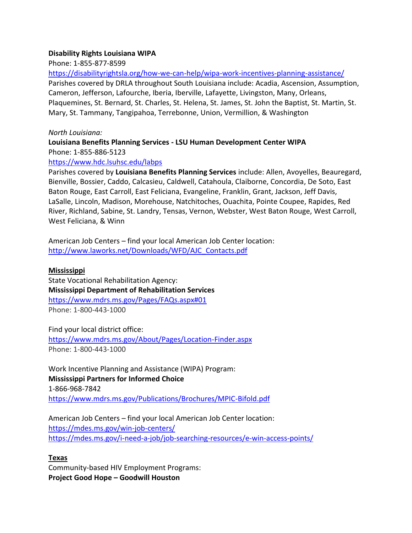#### **Disability Rights Louisiana WIPA**

Phone: 1-855-877-8599

<https://disabilityrightsla.org/how-we-can-help/wipa-work-incentives-planning-assistance/>

Parishes covered by DRLA throughout South Louisiana include: Acadia, Ascension, Assumption, Cameron, Jefferson, Lafourche, Iberia, Iberville, Lafayette, Livingston, Many, Orleans, Plaquemines, St. Bernard, St. Charles, St. Helena, St. James, St. John the Baptist, St. Martin, St. Mary, St. Tammany, Tangipahoa, Terrebonne, Union, Vermillion, & Washington

#### *North Louisiana:*

## **Louisiana Benefits Planning Services - LSU Human Development Center WIPA** Phone: 1-855-886-5123

### [https://www.hdc.lsuhsc.edu/labps](https://www.hdc.lsuhsc.edu/labps/)

Parishes covered by **Louisiana Benefits Planning Services** include: Allen, Avoyelles, Beauregard, Bienville, Bossier, Caddo, Calcasieu, Caldwell, Catahoula, Claiborne, Concordia, De Soto, East Baton Rouge, East Carroll, East Feliciana, Evangeline, Franklin, Grant, Jackson, Jeff Davis, LaSalle, Lincoln, Madison, Morehouse, Natchitoches, Ouachita, Pointe Coupee, Rapides, Red River, Richland, Sabine, St. Landry, Tensas, Vernon, Webster, West Baton Rouge, West Carroll, West Feliciana, & Winn

American Job Centers – find your local American Job Center location: [http://www.laworks.net/Downloads/WFD/AJC\\_Contacts.pdf](http://www.laworks.net/Downloads/WFD/AJC_Contacts.pdf)

## **Mississippi**

State Vocational Rehabilitation Agency: **Mississippi Department of Rehabilitation Services** <https://www.mdrs.ms.gov/Pages/FAQs.aspx#01> Phone: 1-800-443-1000

Find your local district office: <https://www.mdrs.ms.gov/About/Pages/Location-Finder.aspx> Phone: 1-800-443-1000

Work Incentive Planning and Assistance (WIPA) Program: **Mississippi Partners for Informed Choice** 1-866-968-7842 <https://www.mdrs.ms.gov/Publications/Brochures/MPIC-Bifold.pdf>

American Job Centers – find your local American Job Center location: <https://mdes.ms.gov/win-job-centers/> <https://mdes.ms.gov/i-need-a-job/job-searching-resources/e-win-access-points/>

## **Texas**

Community-based HIV Employment Programs: **Project Good Hope – Goodwill Houston**